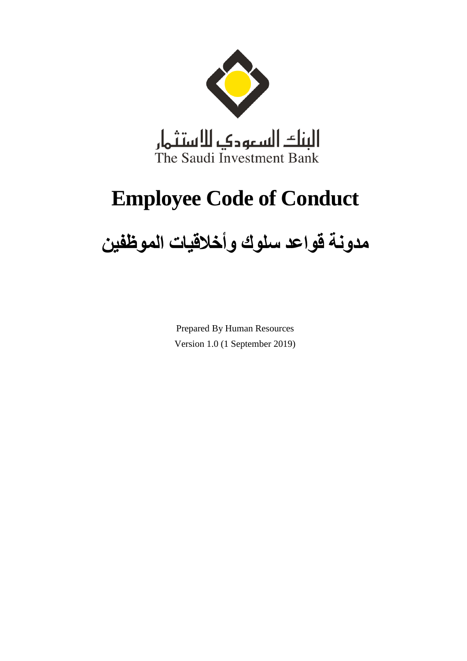

# **Employee Code of Conduct**

# **مدونة قواعد سلوك وأخالقيات الموظفين**

Prepared By Human Resources Version 1.0 (1 September 2019)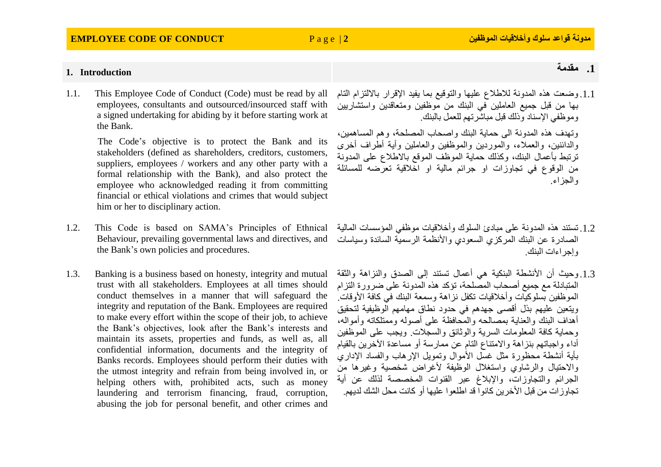### **EMPLOYEE CODE OF CONDUCT** P a g e | **2 الموظفين وأخالقيات سلوك قواعد مدونة**

# **.1 مقدمة Introduction 1.**

1.1. This Employee Code of Conduct (Code) must be read by all employees, consultants and outsourced/insourced staff with a signed undertaking for abiding by it before starting work at the Bank.

> The Code's objective is to protect the Bank and its stakeholders (defined as shareholders, creditors, customers, suppliers, employees / workers and any other party with a formal relationship with the Bank), and also protect the employee who acknowledged reading it from committing financial or ethical violations and crimes that would subject him or her to disciplinary action.

- 1.2. This Code is based on SAMA's Principles of Ethnical Behaviour, prevailing governmental laws and directives, and the Bank's own policies and procedures.
- 1.3. Banking is a business based on honesty, integrity and mutual trust with all stakeholders. Employees at all times should conduct themselves in a manner that will safeguard the integrity and reputation of the Bank. Employees are required to make every effort within the scope of their job, to achieve the Bank's objectives, look after the Bank's interests and maintain its assets, properties and funds, as well as, all confidential information, documents and the integrity of Banks records. Employees should perform their duties with the utmost integrity and refrain from being involved in, or helping others with, prohibited acts, such as money laundering and terrorism financing, fraud, corruption, abusing the job for personal benefit, and other crimes and

### .1.1 وضعت هذه المدونة لالطالع عليها والتوقيع بما يفيد اإلقرار بااللتزام التام بها من قبل جميع العاملين في البنك من موظفين ومتعاقدين واستشاريين وموظفي اإلسناد وذلك قبل مباشرتهم للعمل بالبنك.

وتهدف هذه المدونة الى حماية البنك واصحاب المصلحة، وهم المساهمين، والدائنين، والعمالء، والموردين والموظفين والعاملين وأية أطراف أخرى ترتبط بأعمال البنك، وكذلك حماية الموظف الموقع باالطالع على المدونة من الوقوع في تجاوزات او جرائم مالية او اخالقية تعرضه للمسائلة والجزاء.

- .1.2 تستند هذه المدونة على مبادئ السلوك وأخالقيات موظفي المؤسسات المالية الصادرة عن البنك المركزي السعودي واألنظمة الرسمية السائدة وسياسات وإجراءات البنك.
- 1.3. وحيث أن الأنشطة البنكية هي أعمال تستند إلى الصدق والنزاهة والثقة المتبادلة مع جميع أصحاب المصلحة، تؤكد هذه المدونة على ضرورة التزام الموظفين بسلوكيات وأخلاقيات تكفل نزاهة وسمعة البنك في كافة الأوقات. ويتعين عليهم بذل أقصى جهدهم في حدود نطاق مهامهم الوظيفية لتحقيق أهداف البنك والعناية بمصالحه والمحافظة على أصوله وممتلكاته وأمواله، وحماية كافة المعلومات السرية والوثائق والسجالت. ويجب على الموظفين أداء واجباتهم بنزاهة واالمتناع التام عن ممارسة أو مساعدة اآلخرين بالقيام بأية أنشطة محظورة مثل غسل الأموال وتمويل الإرهاب والفساد الإداري والاحتيال والرشاوى واستغلال الوظيفة لأغراض شخصية وغيرها من الجرائم والتجاوزات، واإلبالغ عبر القنوات المخصصة لذلك عن أية تجاوز ات من قبل الأخرين كانوا قد اطلعوا عليها أو كانت محل الشك لديهم.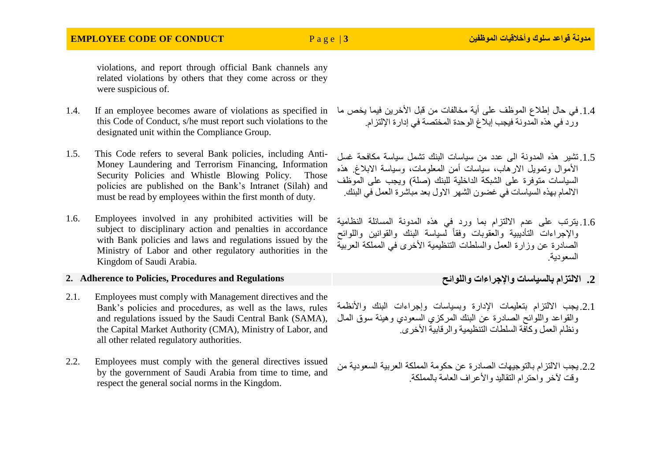## **EMPLOYEE CODE OF CONDUCT** P a g e | **3 الموظفين وأخالقيات سلوك قواعد مدونة**

violations, and report through official Bank channels any related violations by others that they come across or they were suspicious of.

- this Code of Conduct, s/he must report such violations to the designated unit within the Compliance Group.
- 1.5. This Code refers to several Bank policies, including Anti-Money Laundering and Terrorism Financing, Information Security Policies and Whistle Blowing Policy. Those policies are published on the Bank's Intranet (Silah) and must be read by employees within the first month of duty.
- 1.6. Employees involved in any prohibited activities will be subject to disciplinary action and penalties in accordance with Bank policies and laws and regulations issued by the Ministry of Labor and other regulatory authorities in the Kingdom of Saudi Arabia.

### **2. Adherence to Policies, Procedures and Regulations واللوائح واإلجراءات بالسياسات االلتزام .2**

- 2.1. Employees must comply with Management directives and the Bank's policies and procedures, as well as the laws, rules and regulations issued by the Saudi Central Bank (SAMA), the Capital Market Authority (CMA), Ministry of Labor, and all other related regulatory authorities.
- 2.2. Employees must comply with the general directives issued by the government of Saudi Arabia from time to time, and respect the general social norms in the Kingdom.
- 1.4. في حال إطلاع الموظف على أية مخالفات من قبل الأخرين فيما يخص ما 1.4. If an employee becomes aware of violations as specified in ورد في هذه المدونة فيجب إبالغ الوحدة المختصة في إدارة اإللتزام.
	- .1.5 تشير هذه المدونة الى عدد من سياسات البنك تشمل سياسة مكافحة غسل األموال وتمويل االرهاب، سياسات أمن المعلومات، وسياسة االبالغ. هذه السياسات متوفرة على الشبكة الداخلية للبنك )صلة( ويجب على الموظف االلمام بهذه السياسات في غضون الشهر االول بعد مباشرة العمل في البنك.
	- .1.6 يترتب على عدم االلتزام بما ورد في هذه المدونة المسائلة النظامية والإجراءات التأديبية والعقوبات وفقأ لسياسة البنك والقوانين واللوائح الصادرة عن وزارة العمل والسلطات التنظيمية األخرى في المملكة العربية السعودية.

.2.1 يجب االلتزام بتعليمات اإلدارة وبسياسات وإجراءات البنك واألنظمة والقواعد واللوائح الصادرة عن البنك المركزي السعودي وهيئة سوق المال ونظام العمل وكافة السلطات التنظيمية والرقابية األخرى.

2.2. يجب الالتز ام بالتو جيهات الصادر ة عن حكومة المملكة العربية السعودية من وقت لآخر واحترام التقاليد والأعراف العامة بالمملكة.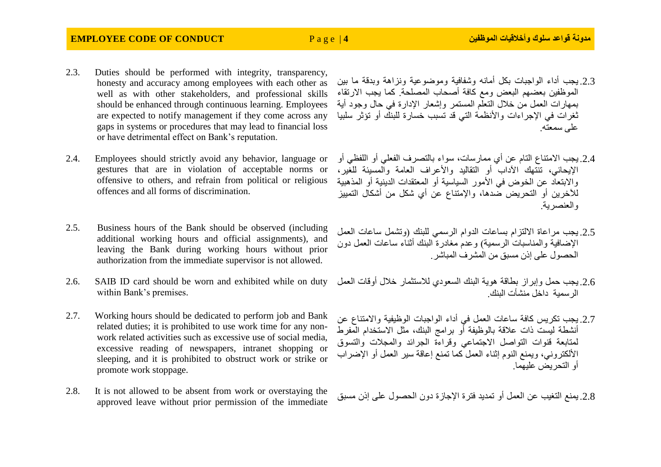### **EMPLOYEE CODE OF CONDUCT** P a g e | **4 الموظفين وأخالقيات سلوك قواعد مدونة**

- 2.3. Duties should be performed with integrity, transparency, honesty and accuracy among employees with each other as well as with other stakeholders, and professional skills should be enhanced through continuous learning. Employees are expected to notify management if they come across any gaps in systems or procedures that may lead to financial loss or have detrimental effect on Bank's reputation.
- 2.4. Employees should strictly avoid any behavior, language or gestures that are in violation of acceptable norms or offensive to others, and refrain from political or religious offences and all forms of discrimination.
- 2.5. Business hours of the Bank should be observed (including additional working hours and official assignments), and leaving the Bank during working hours without prior authorization from the immediate supervisor is not allowed.
- 2.6. SAIB ID card should be worn and exhibited while on duty within Bank's premises.
- 2.7. Working hours should be dedicated to perform job and Bank related duties; it is prohibited to use work time for any nonwork related activities such as excessive use of social media, excessive reading of newspapers, intranet shopping or sleeping, and it is prohibited to obstruct work or strike or promote work stoppage.
- 2.8. It is not allowed to be absent from work or overstaying the 10 يمنع التغيب عن العمل أو تمديد فترة الإجازة دون الحصول على إذن مسبق it is not allowed to be absent from work or overstaying the<br>approved leave without prior permission of the immediate
- .2.3 يجب أداء الواجبات بكل أمانه وشفافية وموضوعية ونزاهة وبدقة ما بين الموظفين بعضهم البعض ومع كافة أصحاب المصلحة. كما يجب االرتقاء بمهارات العمل من خالل التعلم المستمر وإشعار اإلدارة في حال وجود أية ثغرات في اإلجراءات واألنظمة التي قد تسبب خسارة للبنك أو تؤثر سلبيا على سمعته.
- .2.4 يجب االمتناع التام عن أي ممارسات، سواء بالتصرف الفعلي أو اللفظي أو اإليحائي، تنتهك اآلداب أو التقاليد واألعراف العامة والمسيئة للغير، واالبتعاد عن الخوض في األمور السياسية أو المعتقدات الدينية أو المذهبية لآلخرين أو التحريض ضدها، واإلمتناع عن أي شكل من أشكال التمييز والعنصرية.
- .2.5 يجب مراعاة االلتزام بساعات الدوام الرسمي للبنك )وتشمل ساعات العمل الإضافية والمناسبات الرسمية) وعدم مغادرة البنك أثناء ساعات العمل دون الحصول على إذن مسبق من المشرف المباشر.
- .2.6 يجب حمل وإبراز بطاقة هوية البنك السعودي لالستثمار خالل أوقات العمل الرسمية داخل منشأت البنك.
- .2.7 يجب تكريس كافة ساعات العمل في أداء الواجبات الوظيفية واالمتناع عن أنشطة ليست ذات عالقة بالوظيفة أو برامج البنك، مثل االستخدام المفرط لمتابعة قنوات التواصل االجتماعي وقراءة الجرائد والمجالت والتسوق األلكتروني، ويمنع النوم إثناء العمل كما تمنع إعاقة سير العمل أو اإلضراب أو التحريض عليهما.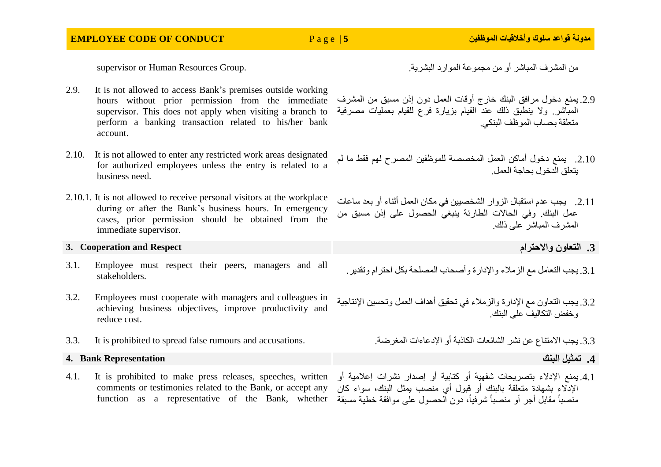من المشرف المباشر أو من مجموعة الموارد البشرية. .<br>من المشرف المباشر أو من مجموعة الموارد البشرية.

- 2.9. It is not allowed to access Bank's premises outside working hours without prior permission from the immediate supervisor. This does not apply when visiting a branch to perform a banking transaction related to his/her bank account.
- 2.10. It is not allowed to enter any restricted work areas designated for authorized employees unless the entry is related to a business need.
- 2.10.1. It is not allowed to receive personal visitors at the workplace during or after the Bank's business hours. In emergency cases, prior permission should be obtained from the immediate supervisor.

### **3. Cooperation and Respect واالحترام التعاون .3**

- 3.1. Employee must respect their peers, managers and all stakeholders.
- 3.2. Employees must cooperate with managers and colleagues in achieving business objectives, improve productivity and reduce cost.
- .3.3 يجب االمتناع عن نشر الشائعات الكاذبة أو اإلدعاءات المغرضة. .accusations and rumours false spread to prohibited is It 3.3.

### **.4 تمثيل البنك Representation Bank 4.**

4.1. It is prohibited to make press releases, speeches, written comments or testimonies related to the Bank, or accept any

- .2.9 يمنع دخول مرافق البنك خارج أوقات العمل دون إذن مسبق من المشرف المباشر. وال ينطبق ذلك عند القيام بزيارة فرع للقيام بعمليات مصرفية متعلقة بحساب الموظف البنكي.
- .2.10 يمنع دخول أماكن العمل المخصصة للموظفين المصرح لهم فقط ما لم يتعلق الدخول بحاجة العمل.
- .2.11 يجب عدم استقبال الزوار الشخصيين في مكان العمل أثناء أو بعد ساعات عمل البنك. وفي الحاالت الطارئة ينبغي الحصول على إذن مسبق من المشرف المباشر على ذلك.

- .3.1 يجب التعامل مع الزمالء واإلدارة وأصحاب المصلحة بكل احترام وتقدير.
- 3.2. يجب التعاون مع الإدار ة والز ملاء في تحقيق أهداف العمل وتحسين الإنتاجية وخفض التكاليف على البنك.

function as a representative of the Bank, whether منصباً مقابل أجر أو منصباً شرفيا،ً دون الحصول على موافقة خطية مسبقة.4.1 يمنع اإلدالء بتصريحات شفهية أو كتابية أو إصدار نشرات إعالمية أو اإلدالء بشهادة متعلقة بالبنك أو قبول أي منصب يمثل البنك، سواء كان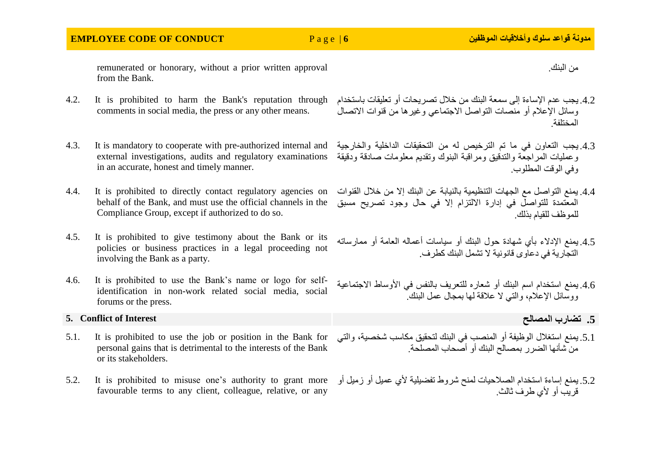## **EMPLOYEE CODE OF CONDUCT** P a g e | **6 الموظفين وأخالقيات سلوك قواعد مدونة**

remunerated or honorary, without a prior written approval from the Bank.

- 4.2. يجب عدم الإساءة إلى سمعة البنك من خلال تصريحات أو تعليقات باستخدام 4.2. It is prohibited to harm the Bank's reputation through comments in social media, the press or any other means.
- 4.3. It is mandatory to cooperate with pre-authorized internal and external investigations, audits and regulatory examinations in an accurate, honest and timely manner.
- 4.4. It is prohibited to directly contact regulatory agencies on behalf of the Bank, and must use the official channels in the Compliance Group, except if authorized to do so.
- 4.5. It is prohibited to give testimony about the Bank or its policies or business practices in a legal proceeding not involving the Bank as a party.
- 4.6. It is prohibited to use the Bank's name or logo for selfidentification in non-work related social media, social forums or the press.

### **5. Conflict of Interest المصالح تضارب .5**

- 5.1. يمنع استغلال الوظيفة أو المنصب في البنك لتحقيق مكاسب شخصية، والتي S.1. It is prohibited to use the job or position in the Bank for personal gains that is detrimental to the interests of the Bank or its stakeholders.
- favourable terms to any client, colleague, relative, or any
- وسائل اإلعالم أو منصات التواصل االجتماعي وغيرها من قنوات االتصال المختلفة.
- .4.3 يجب التعاون في ما تم الترخيص له من التحقيقات الداخلية والخارجية وعمليات المراجعة والتدقيق ومراقبة البنوك وتقديم معلومات صادقة ودقيقة وفي الوقت المطلوب.
- .4.4 يمنع التواصل مع الجهات التنظيمية بالنيابة عن البنك إال من خالل القنوات المعتمدة للتواصل في إدارة االلتزام إال في حال وجود تصريح مسبق للموظف للقيام بذلك.
- .4.5 يمنع اإلدالء بأي شهادة حول البنك أو سياسات أعماله العامة أو ممارساته التجارية في دعاوى قانونية ال تشمل البنك كطرف.
- 4.6 يمنع استخدام اسم البنك أو شعار ه للتعريف بالنفس في الأوساط الاجتماعية ووسائل اإلعالم، والتي ال عالقة لها بمجال عمل البنك.

- من شأنها الضرر بمصالح البنك أو أصحاب المصلحة.
- 5.2. يمنع إساءة استخدام الصلاحيات لمنح شروط تفضيلية لأي عميل أو زميل أو 5.2. It is prohibited to misuse one's authority to grant more قريب أو ألي طرف ثالث.

من البنك.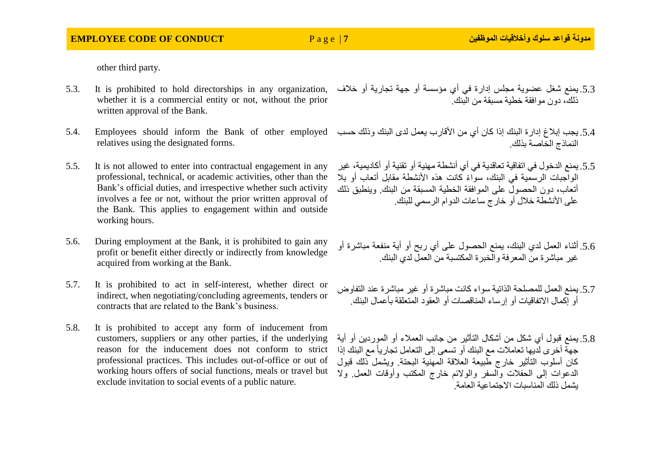other third party.

- 5.3. It is prohibited to hold directorships in any organization, whether it is a commercial entity or not, without the prior written approval of the Bank.
- 5.4. يجب إبلاغ إدارة البنك إذا كان أي من الأقارب يعمل لدى البنك وذلك حسب 5.4. Employees should inform the Bank of other employed relatives using the designated forms.
- 5.5. It is not allowed to enter into contractual engagement in any professional, technical, or academic activities, other than the Bank's official duties, and irrespective whether such activity involves a fee or not, without the prior written approval of the Bank. This applies to engagement within and outside working hours.
- 5.6. During employment at the Bank, it is prohibited to gain any profit or benefit either directly or indirectly from knowledge acquired from working at the Bank.
- 5.7. It is prohibited to act in self-interest, whether direct or indirect, when negotiating/concluding agreements, tenders or contracts that are related to the Bank's business.
- 5.8. It is prohibited to accept any form of inducement from reason for the inducement does not conform to strict professional practices. This includes out-of-office or out of working hours offers of social functions, meals or travel but exclude invitation to social events of a public nature.
- .5.3 يمنع شغل عضوية مجلس إدارة في أي مؤسسة أو جهة تجارية أو خالف ذلك، دون موافقة خطية مسبقة من البنك.
- النماذج الخاصة بذلك.
- .5.5 يمنع الدخول في اتفاقية تعاقدية في أي أنشطة مهنية أو تقنية أو أكاديمية، غير الواجبات الرسمية في البنك، سواءً كانت هذه الأنشطة مقابل أتعاب أو بلا أتعاب، دون الحصول على الموافقة الخطية المسبقة من البنك. وينطبق ذلك على الأنشطة خلال أو خارج ساعات الدوام الرسمي للبنك.
- .5.6 أثناء العمل لدي البنك، يمنع الحصول على أي ربح أو أية منفعة مباشرة أو غير مباشرة من المعرفة والخبرة المكتسبة من العمل لدي البنك.
- 5.7. يمنع العمل للمصلحة الذاتية سواء كانت مباشر ة أو غير مباشر ة عند التفاوض أو إكمال االتفاقيات أو إرساء المناقصات أو العقود المتعلقة بأعمال البنك.
- customers, suppliers or any other parties, if the underlying .5.8 يمنع قبول أي شكل من أشكال التأثير من جانب العمالء أو الموردين أو أية جهة أخرى لديها تعامالت مع البنك أو تسعى إلى التعامل تجارياً مع البنك إذا كان أسلوب التأثير خارج طبيعة العالقة المهنية البحتة. ويشمل ذلك قبول الدعوات إلى الحفالت والسفر والوالئم خارج المكتب وأوقات العمل. وال يشمل ذلك المناسبات االجتماعية العامة.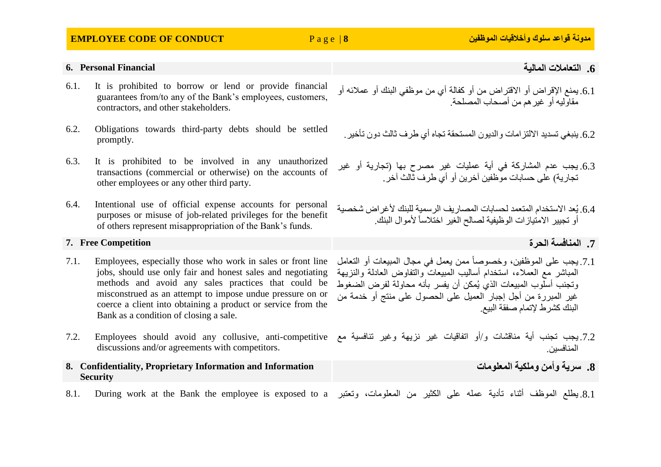### **EMPLOYEE CODE OF CONDUCT** P a g e | **8 الموظفين وأخالقيات سلوك قواعد مدونة**

- 6.1. It is prohibited to borrow or lend or provide financial guarantees from/to any of the Bank's employees, customers, contractors, and other stakeholders.
- 6.2. Obligations towards third-party debts should be settled promptly.
- 6.3. It is prohibited to be involved in any unauthorized transactions (commercial or otherwise) on the accounts of other employees or any other third party.
- 6.4. Intentional use of official expense accounts for personal purposes or misuse of job-related privileges for the benefit of others represent misappropriation of the Bank's funds.

### **.7 المنافسة الحرة Competition Free 7.**

- 7.1. Employees, especially those who work in sales or front line jobs, should use only fair and honest sales and negotiating methods and avoid any sales practices that could be misconstrued as an attempt to impose undue pressure on or coerce a client into obtaining a product or service from the Bank as a condition of closing a sale.
- 7.2. يجب تجنب أية مناقشات و/أو اتفاقيات غير نزيهة وغير تنافسية مع Samployees should avoid any collusive, anti-competitive مع discussions and/or agreements with competitors.
- **8. Confidentiality, Proprietary Information and Information Security**
- 8.1. During work at the Bank the employee is exposed to a وتعتبر . 2 s.1. During work at the Bank the employee is exposed to a
- .6.1 يمنع اإلقراض أو االقتراض من أو كفالة أي من موظفي البنك أو عمالئه أو مقاوليه أو غيرهم من أصحاب المصلحة.
	- .6.2 ينبغي تسديد الإلتز امات والديون المستحقة تجاه أي طر ف ثالث دون تأخير.
- 6.3. يجب عدم المشاركة في أية عمليات غير مصرح بها (تجارية أو غير تجارية( على حسابات موظفين آخرين أو أي طرف ثالث آخر.
- .6.4 يُعد الاستخدام المتعمد لحسابات المصبار يف الر سمية للبنك لأغر اض شخصية أو تجيير الامتيازات الوظيفية لصالح الغير اختلاساً لأموال البنك.

- .7.1 يجب على الموظفين، وخصوصاً ممن يعمل في مجال المبيعات أو التعامل المباشر مع العمالء، استخدام أساليب المبيعات والتفاوض العادلة والنزيهة وتجنب أسلوب المبيعات الذي يُمكن أن يفسر بأنه محاولة لفرض الضغوط غير المبررة من أجل إجبار العميل على الحصول على منتج أو خدمة من البنك كشرط إلتمام صفقة البيع.
- المنافسين.
	- **.8 سرية وأمن وملكية المعلومات**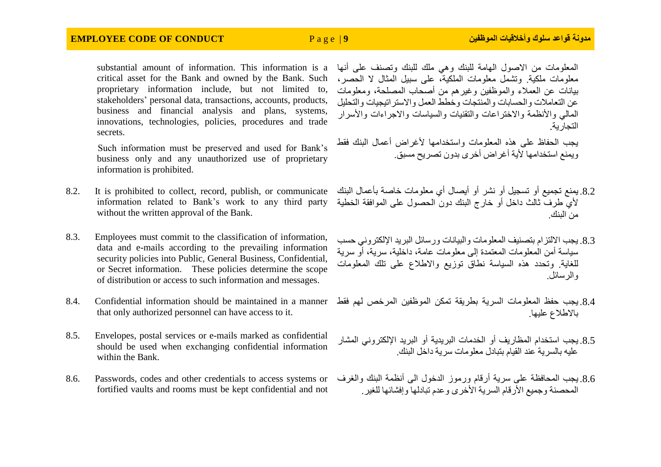### **EMPLOYEE CODE OF CONDUCT** P a g e | **9 الموظفين وأخالقيات سلوك قواعد مدونة**

substantial amount of information. This information is a critical asset for the Bank and owned by the Bank. Such proprietary information include, but not limited to, stakeholders' personal data, transactions, accounts, products, business and financial analysis and plans, systems, innovations, technologies, policies, procedures and trade secrets.

Such information must be preserved and used for Bank's business only and any unauthorized use of proprietary information is prohibited.

- 8.2. It is prohibited to collect, record, publish, or communicate without the written approval of the Bank.
- 8.3. Employees must commit to the classification of information, data and e-mails according to the prevailing information security policies into Public, General Business, Confidential, or Secret information. These policies determine the scope of distribution or access to such information and messages.
- 8.4. Confidential information should be maintained in a manner that only authorized personnel can have access to it.
- 8.5. Envelopes, postal services or e-mails marked as confidential should be used when exchanging confidential information within the Bank.
- 8.6. Passwords, codes and other credentials to access systems or fortified vaults and rooms must be kept confidential and not

المعلومات من االصول الهامة للبنك وهي ملك للبنك وتصنف على أنها معلومات ملكية. وتشمل معلومات الملكية، على سبيل المثال ال الحصر، بيانات عن العمالء والموظفين وغيرهم من أصحاب المصلحة، ومعلومات عن التعاملات والحسابات والمنتجات وخطط العمل والاستر اتيجيات والتحليل المالي والأنظمة والاختراعات والتقنيات والسياسات والاجراءات والأسرار التجارية.

يجب الحفاظ على هذه المعلومات واستخدامها ألغراض أعمال البنك فقط ويمنع استخدامها ألية أغراض أخرى بدون تصريح مسبق.

- information related to Bank's work to any third party ألي طرف ثالث داخل أو خارج البنك دون الحصول على الموافقة الخطية .8.2 يمنع تجميع أو تسجيل أو نشر أو أيصال أي معلومات خاصة بأعمال البنك من البنك.
	- 8.3. يجب الإلتز ام بتصنيف المعلومات والبيانات ورسائل البريد الإلكتروني حسب سياسة أمن المعلومات المعتمدة إلى معلومات عامة، داخلية، سرية، أو سرية للغاية. وتحدد هذه السياسة نطاق توزيع واالطالع على تلك المعلومات والرسائل.
	- .8.4 يجب حفظ المعلومات السرية بطريقة تمكن الموظفين المرخص لهم فقط باالطالع عليها.
	- 8.5. يجب استخدام المظاريف أو الخدمات البريدية أو البريد الإلكتروني المشار عليه بالسرية عند القيام بتبادل معلومات سرية داخل البنك.
	- .8.6 يجب المحافظة على سرية أرقام ورموز الدخول الى أنظمة البنك والغرف المحصنة وجميع الأر قام السرية الأخرى وعدم تبادلها وإفشائها للغير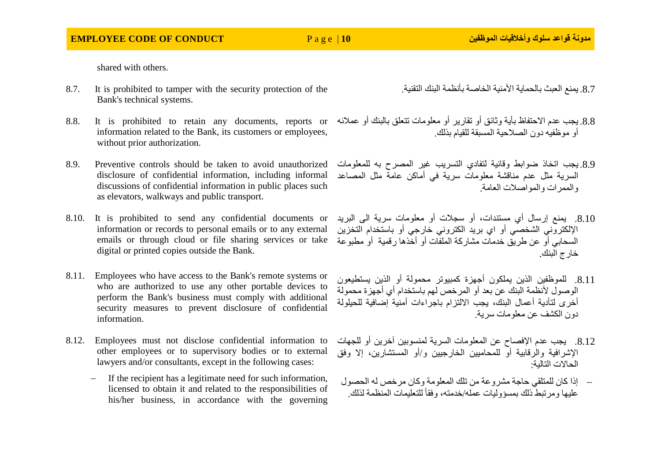shared with others.

- 8.7. It is prohibited to tamper with the security protection of the Bank's technical systems.
- 8.8. يجب عدم الاحتفاظ بأية وثائق أو تقارير أو معلومات تتعلق بالبنك أو عملائه S.8. It is prohibited to retain any documents, reports or information related to the Bank, its customers or employees, without prior authorization.
- 8.9. Preventive controls should be taken to avoid unauthorized disclosure of confidential information, including informal discussions of confidential information in public places such as elevators, walkways and public transport.
- 8.10. It is prohibited to send any confidential documents or digital or printed copies outside the Bank.
- 8.11. Employees who have access to the Bank's remote systems or who are authorized to use any other portable devices to perform the Bank's business must comply with additional security measures to prevent disclosure of confidential information.
- 8.12. Employees must not disclose confidential information to other employees or to supervisory bodies or to external lawyers and/or consultants, except in the following cases:
	- If the recipient has a legitimate need for such information, licensed to obtain it and related to the responsibilities of his/her business, in accordance with the governing
- 8.7. يمنع العبث بالحماية الأمنية الخاصة بأنظمة البنك التقنية.
- أو موظفيه دون الصالحية المسبقة للقيام بذلك.
- .8.9 يجب اتخاذ ضوابط وقائية لتفادي التسريب غير المصرح به للمعلومات السرية مثل عدم مناقشة معلومات سرية في أماكن عامة مثل المصاعد والممرات والمواصالت العامة.
- information or records to personal emails or to any external اإللكتروني الشخصي أو اي بريد الكتروني خارجي أو باستخدام التخزين emails or through cloud or file sharing services or take السحابي أو عن طريق خدمات مشاركة الملفات أو أخذها رقمية أو مطبوعة .8.10 يمنع إرسال أي مستندات، أو سجالت أو معلومات سرية الى البريد خارج البنك.
	- .8.11 للموظفين الذين يملكون أجهزة كمبيوتر محمولة أو الذين يستطيعون الوصول لأنظمة البنك عن بعد أو المرخص لهم باستخدام أي أجهز ة محمولة أخرى لتأدية أعمال البنك، يجب االلتزام باجراءات أمنية إضافية للحيلولة دون الكشف عن معلومات سرية.
	- .8.12 يجب عدم اإلفصاح عن المعلومات السرية لمنسوبين آخرين أو للجهات اإلشرافية والرقابية أو للمحاميين الخارجيين و/أو المستشارين، إال وفق الحاالت التالية:
	- إذا كان للمتلقي حاجة مشروعة من تلك المعلومة وكان مرخص له الحصول عليها ومرتبط ذلك بمسؤوليات عمله/خدمته، وفقا للتعليمات المنظمة لذلك. ً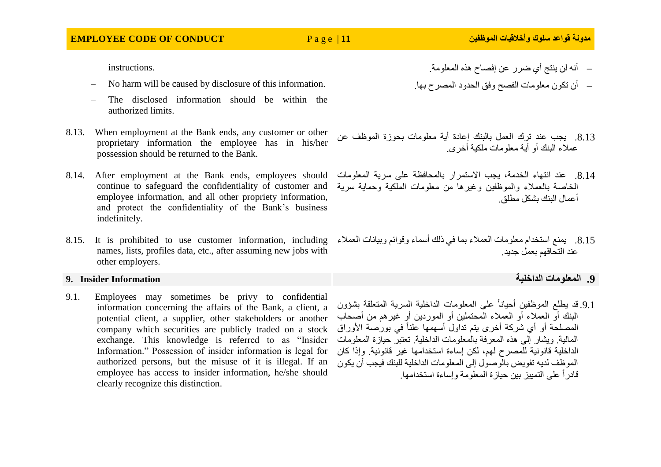instructions.

- No harm will be caused by disclosure of this information.
- The disclosed information should be within the authorized limits.
- 8.13. When employment at the Bank ends, any customer or other proprietary information the employee has in his/her possession should be returned to the Bank.
- 8.14. After employment at the Bank ends, employees should عند انتهاء الخدمة، يجب الاستمرار بالمحافظة على سرية المعلومات المعطومات المعلومات المعادمة بيجب الاستمرار بالمحافظة على سرية المعلومات المعطومات continue to safeguard the confidentiality of customer and employee information, and all other propriety information, and protect the confidentiality of the Bank's business indefinitely.
- names, lists, profiles data, etc., after assuming new jobs with other employers.

9.1. Employees may sometimes be privy to confidential information concerning the affairs of the Bank, a client, a potential client, a supplier, other stakeholders or another company which securities are publicly traded on a stock exchange. This knowledge is referred to as "Insider Information." Possession of insider information is legal for authorized persons, but the misuse of it is illegal. If an employee has access to insider information, he/she should clearly recognize this distinction.

- أن تكون معلومات الفصح وفق الحدود المصرح بها.
- .8.13 يجب عند ترك العمل بالبنك إعادة أية معلومات بحوزة الموظف عن عمالء البنك أو أية معلومات ملكية أخرى.
- الخاصة بالعمالء والموظفين وغيرها من معلومات الملكية وحماية سرية أعمال البنك بشكل مطلق.
- 8.15. يمنع استخدام معلومات العملاء بما في ذلك أسماء وقوائم وبيانات العملاء S.15. It is prohibited to use customer information, including عند التحاقهم بعمل جديد.
- **.9 المعلومات الداخلية Information Insider 9.**
	- .9.1 قد يطلع الموظفين أحياناً على المعلومات الداخلية السرية المتعلقة بشؤون البنك أو العمالء أو العمالء المحتملين أو الموردين أو غيرهم من أصحاب المصلحة أو أي شركة أخرى يتم تداول أسهمها علناً في بورصة الأوراق المالية. ويشار إلى هذه المعرفة بالمعلومات الداخلية. تعتبر حيازة المعلومات الداخلية قانونية للمصرح لهم، لكن إساءة استخدامها غير قانونية. وإذا كان الموظف لديه تفويض بالوصول إلى المعلومات الداخلية للبنك فيجب أن يكون قادر أ على التمييز بين حيازة المعلومة وإساءة استخدامها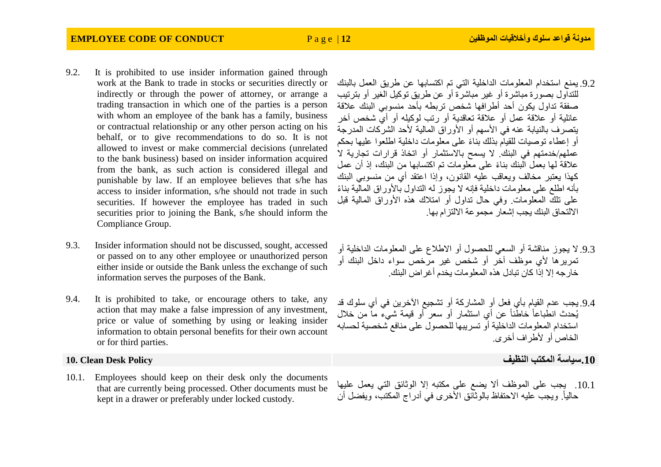- 9.2. It is prohibited to use insider information gained through work at the Bank to trade in stocks or securities directly or indirectly or through the power of attorney, or arrange a trading transaction in which one of the parties is a person with whom an employee of the bank has a family, business or contractual relationship or any other person acting on his behalf, or to give recommendations to do so. It is not allowed to invest or make commercial decisions (unrelated to the bank business) based on insider information acquired from the bank, as such action is considered illegal and punishable by law. If an employee believes that s/he has access to insider information, s/he should not trade in such securities. If however the employee has traded in such securities prior to joining the Bank, s/he should inform the Compliance Group.
- 9.3. Insider information should not be discussed, sought, accessed or passed on to any other employee or unauthorized person either inside or outside the Bank unless the exchange of such information serves the purposes of the Bank.
- 9.4. It is prohibited to take, or encourage others to take, any action that may make a false impression of any investment, price or value of something by using or leaking insider information to obtain personal benefits for their own account or for third parties.

10.1. Employees should keep on their desk only the documents that are currently being processed. Other documents must be kept in a drawer or preferably under locked custody.

- .9.2 يمنع استخدام المعلومات الداخلية التي تم اكتسابها عن طريق العمل بالبنك للتداول بصورة مباشرة أو غير مباشرة أو عن طريق توكيل الغير أو بترتيب صفقة تداول يكون أحد أطرافها شخص تربطه بأحد منسوبي البنك عالقة عائلية أو عالقة عمل أو عالقة تعاقدية أو رتب لوكيله أو أي شخص آخر يتصرف بالنيابة عنه في الأسهم أو الأوراق المالية لأحد الشركات المدرجة أو إعطاء توصيات للقيام بذلك بناءً على معلومات داخلية اطلعوا عليها بحكم عملهم/خدمتهم في البنك. لا يسمح بالاستثمار أو اتخاذ قرارات تجارية لا علاقة لمها بعمل البنك بناءً على معلومات تم اكتسابها مِن البنك، إذ أن عمل كهذا يعتبر مخالف ويعاقب عليه القانون، وإذا اعتقد أي من منسوبي البنك بأنه اطلع على معلومات داخلية فإنه لا يجوز له التداول بالأوراق المالية بناءً على تلك المعلومات. وفي حال تداول أو امتالك هذه األوراق المالية قبل االلتحاق البنك يجب إشعار مجموعة االلتزام بها.
- .9.3 ال يجوز مناقشة أو السعي للحصول أو االطالع على المعلومات الداخلية أو تمريرها ألي موظف آخر أو شخص غير مرخص سواء داخل البنك أو خارجه إال إذا كان تبادل هذه المعلومات يخدم أغراض البنك.
- 9.4. يجب عدم القيام بأي فعل أو المشاركة أو تشجيع الآخرين في أي سلوك قد يُحدث انطباعاً خاطئاً عن أي استثمار أو سعر أو قيمة شيء ما من خالل استخدام المعلومات الداخلية أو تسريبها للحصول على منافع شخصية لحسابه الخاص أو ألطراف أخرى.

**.10سياسة المكتب النظيف Policy Desk Clean 10.**

.10.1 يجب على الموظف أال يضع على مكتبه إال الوثائق التي يعمل عليها حالياً. ويجب عليه الاحتفاظ بالوثَائق الأخرى في أدراج المكتب، ويفضل أن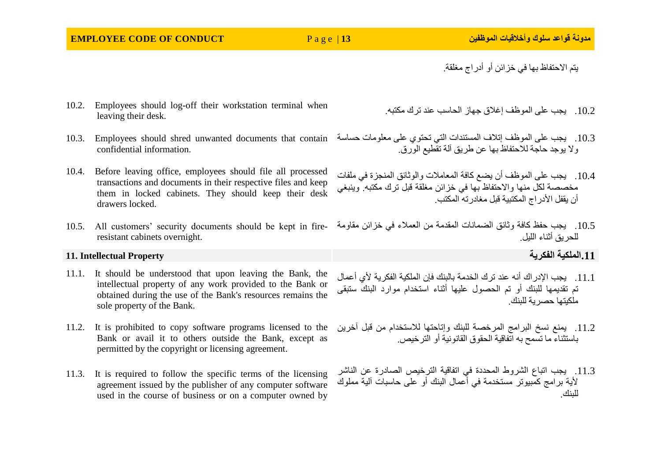### **EMPLOYEE CODE OF CONDUCT** P a g e | **13 الموظفين وأخالقيات سلوك قواعد مدونة**

يتم االحتفاظ بها في خزائن أو أدراج مغلقة.

- 10.2. Employees should log-off their workstation terminal when leaving their desk.
- 10.3. Employees should shred unwanted documents that contain confidential information.
- 10.4. Before leaving office, employees should file all processed transactions and documents in their respective files and keep them in locked cabinets. They should keep their desk drawers locked.
- resistant cabinets overnight.

### **.11الملكية الفكرية Property Intellectual 11.**

- 11.1. It should be understood that upon leaving the Bank, the intellectual property of any work provided to the Bank or obtained during the use of the Bank's resources remains the sole property of the Bank.
- 11.2. It is prohibited to copy software programs licensed to the Bank or avail it to others outside the Bank, except as permitted by the copyright or licensing agreement.
- 11.3. It is required to follow the specific terms of the licensing agreement issued by the publisher of any computer software used in the course of business or on a computer owned by

.10.2 يجب على الموظف إغالق جهاز الحاسب عند ترك مكتبه.

- .10.3 يجب على الموظف إتالف المستندات التي تحتوي على معلومات حساسة وال يوجد حاجة لالحتفاظ بها عن طريق آلة تقطيع الورق.
- .10.4 يجب على الموظف أن يضع كافة المعامالت والوثائق المنجزة في ملفات مخصصة لكل منها واالحتفاظ بها في خزائن مغلقة قبل ترك مكتبه. وينبغي أن بقفل الأدر اج المكتبية قبل مغادر ته المكتب.
- 10.5. All customers' security documents should be kept in fire-.10.5 يجب حفظ كافة وثائق الضمانات المقدمة من العمالء في خزائن مقاومة للحريق أثناء الليل.

- .11.1 يجب اإلدراك أنه عند ترك الخدمة بالبنك فإن الملكية الفكرية ألي أعمال تم تقديمها للبنك أو تم الحصول عليها أثناء استخدام موارد البنك ستبقى ملكيتها حصرية للبنك.
- .11.2 يمنع نسخ البرامج المرخصة للبنك وإتاحتها لالستخدام من قبل آخرين باستثناء ما تسمح به اتفاقية الحقوق القانونية أو الترخيص.
- .11.3 يجب اتباع الشروط المحددة في اتفاقية الترخيص الصادرة عن الناشر ألية برامج كمبيوتر مستخدمة في أعمال البنك أو على حاسبات آلية مملوك للبنك.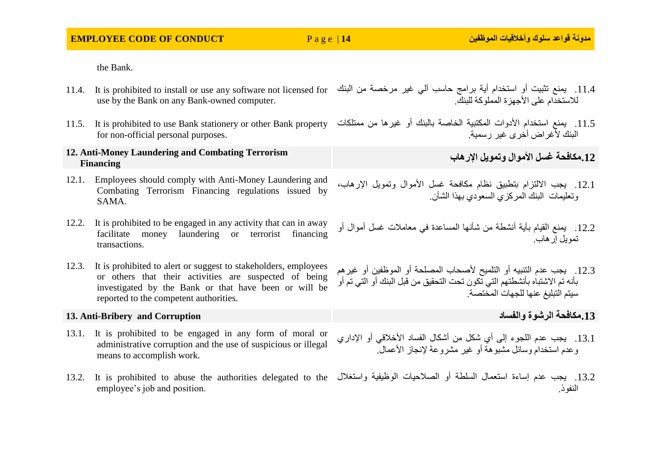| <b>EMPLOYEE CODE OF CONDUCT</b> |  |  |
|---------------------------------|--|--|
|---------------------------------|--|--|

the Bank.

- 11.4. يمنع تثبيت أو استخدام أية برامج حاسب آلي غير مرخصة من البنك 11.4. It is prohibited to install or use any software not licensed for use by the Bank on any Bank-owned computer. للاستخدام على الأجهز ة المملوكة للبنك.
- for non-official personal purposes.

### **12. Anti-Money Laundering and Combating Terrorism Financing**

- 12.1. Employees should comply with Anti-Money Laundering and Combating Terrorism Financing regulations issued by SAMA.
- 12.2. It is prohibited to be engaged in any activity that can in away facilitate money laundering or terrorist financing transactions.
- 12.3. It is prohibited to alert or suggest to stakeholders, employees or others that their activities are suspected of being investigated by the Bank or that have been or will be reported to the competent authorities.

### **13. Anti-Bribery and Corruption والفساد الرشوة مكافحة.13**

- 13.1. It is prohibited to be engaged in any form of moral or administrative corruption and the use of suspicious or illegal means to accomplish work.
- 13.2. يجب عدم إساءة استعمال السلطة أو الصلاحيات الوظيفية واستغلال 13.2. It is prohibited to abuse the authorities delegated to the employee's job and position.
- 
- 11.5. يمنع استخدام الأدوات المكتبية الخاصة بالبنك أو غيرها من ممتلكات I1.5. It is prohibited to use Bank stationery or other Bank property البنك لأغر اض أخرى غير رسمية.

**.12مكافحة غسل األموال وتمويل اإلرهاب**

- .12.1 يجب االلتزام بتطبيق نظام مكافحة غسل األموال وتمويل اإلرهاب، وتعليمات البنك المركزي السعودي بهذا الشأن.
- .12.2 يمنع القيام بأية أنشطة من شأنها المساعدة في معامالت غسل أموال أو تمويل إرهاب.
- 12.3. يجب عدم التنبيه أو التلميح لأصحاب المصلحة أو الموظفين أو غيرهم بأنه تم االشتباه بأنشطتهم التي تكون تحت التحقيق من قبل البنك أو التي تم أو سيتم التبليغ عنها للجهات المختصة.

- 13.1. يجب عدم اللجوء إلى أي شكل من أشكال الفساد الأخلاقي أو الإداري وعدم استخدام وسائل مشبوهة أو غير مشروعة إلنجاز األعمال.
- النفوذ.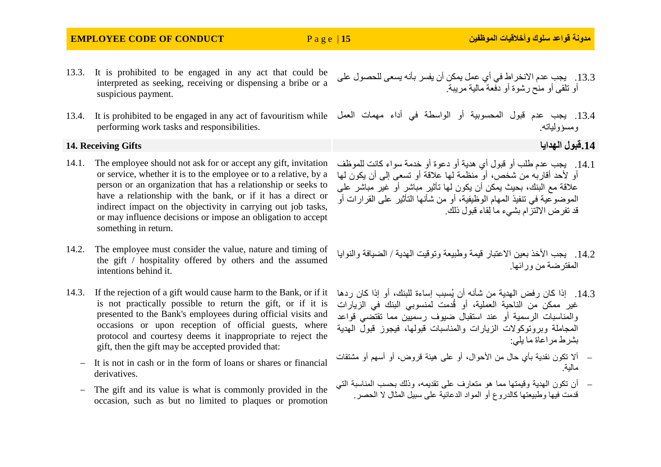### **EMPLOYEE CODE OF CONDUCT** P a g e | **15 الموظفين وأخالقيات سلوك قواعد مدونة**

- 13.3. It is prohibited to be engaged in any act that could be interpreted as seeking, receiving or dispensing a bribe or a suspicious payment.
- 13.4. It is prohibited to be engaged in any act of favouritism while performing work tasks and responsibilities.

### **.14قبول الهدايا Gifts Receiving 14.**

- 14.1. The employee should not ask for or accept any gift, invitation or service, whether it is to the employee or to a relative, by a person or an organization that has a relationship or seeks to have a relationship with the bank, or if it has a direct or indirect impact on the objectivity in carrying out job tasks, or may influence decisions or impose an obligation to accept something in return.
- 14.2. The employee must consider the value, nature and timing of the gift / hospitality offered by others and the assumed intentions behind it.
- is not practically possible to return the gift, or if it is presented to the Bank's employees during official visits and occasions or upon reception of official guests, where protocol and courtesy deems it inappropriate to reject the gift, then the gift may be accepted provided that:
	- $-I$  It is not in cash or in the form of loans or shares or financial derivatives.
	- The gift and its value is what is commonly provided in the occasion, such as but no limited to plaques or promotion
- .13.3 يجب عدم االنخراط في أي عمل يمكن أن يفسر بأنه يسعى للحصول على أو تلقى أو منح رشوة أو دفعة مالية مريبة.
- .13.4 يجب عدم قبول المحسوبية أو الواسطة في أداء مهمات العمل ومسؤولياته.

- .14.1 يجب عدم طلب أو قبول أي هدية أو دعوة أو خدمة سواء كانت للموظف أو الأحد أقاربه من شخص، أو ً منظمة لها علاقة أو تسعى إلى أن يكون لها عالقة مع البنك، بحيث يمكن أن يكون لها تأثير مباشر أو غير مباشر على الموضوعية في تنفيذ المهام الوظيفية، أو من شأنها التأثير على القرارات أو قد تفرض االلتزام بشيء ما ِلقاء قبول ذلك.
- 14.2. يجب الأخذ بعين الاعتبار قيمة وطبيعة وتوقيت الهدية / الضيافة والنوايا المفترضة من ورائها.
- 14.3. إذا كان رفض الهدية من شأنه أن يُسبب إساءة للبنك، أو إذا كان ردها 14 Bank, or if it كان ردها 14.3 غير ممكن من الناحية العملية، أو قُدمت لمنسوبي البنك في الزيارات والمناسبات الرسمية أو عند استقبال ضيوف رسميين مما تقتضي قواعد المجاملة وبروتوكوالت الزيارات والمناسبات قبولها، فيجوز قبول الهدية بشرط مراعاة ما يلي:
	- أال تكون نقدية بأي حال من األحوال، أو على هيئة قروض، أو أسهم أو مشتقات مالية.
	- أن تكون الهدية وقيمتها مما هو متعارف على تقديمه، وذلك بحسب المناسبة التي قدمت فيها وطبيعتها كالدروع أو المواد الدعائية على سبيل المثال ال الحصر.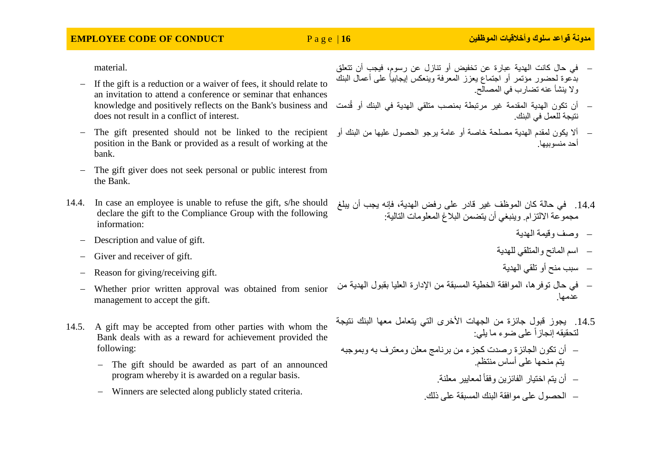material.

- If the gift is a reduction or a waiver of fees, it should relate to an invitation to attend a conference or seminar that enhances knowledge and positively reflects on the Bank's business and does not result in a conflict of interest.
- position in the Bank or provided as a result of working at the bank.
- The gift giver does not seek personal or public interest from the Bank.
- 14.4. In case an employee is unable to refuse the gift, s/he should declare the gift to the Compliance Group with the following information:
	- Description and value of gift.
	- Giver and receiver of gift.
	- Reason for giving/receiving gift.
	- Whether prior written approval was obtained from senior management to accept the gift.
- 14.5. A gift may be accepted from other parties with whom the Bank deals with as a reward for achievement provided the following:
	- The gift should be awarded as part of an announced program whereby it is awarded on a regular basis.
	- Winners are selected along publicly stated criteria.
- في حال كانت الهدية عبارة عن تخفيض أو تنازل عن رسوم، فيجب أن تتعلق بدِّعوة لحضور مؤتمر أو اجتماع بعزز المعرفة وبنعكس إبجابياً على أعمال البنك وال ينشأ عنه تضارب في المصالح.
- أن تكون الهدية المقدمة غير مرتبطة بمنصب متلقي الهدية في البنك أو قُدمت نتيجة للعمل في البنك.
- The gift presented should not be linked to the recipient أال يكون لمقدم الهدية مصلحة خاصة أو عامة يرجو الحصول عليها من البنك أو أحد منسوبيها.

- .14.4 في حالة كان الموظف غير قادر على رفض الهدية، فإنه يجب أن يبلغ مجموعة الالتزام. وينبغي أن يتضمن البلاغ المعلومات التالية:
	- وصف وقيمة الهدية
	- اسم المانح والمتلقي للهدية
		- سبب منح أو تلقي الهدية
- في حال توفرها، الموافقة الخطية المسبقة من اإلدارة العليا بقبول الهدية من عدمها.
- .14.5 يجوز قبول جائزة من الجهات األخرى التي يتعامل معها البنك نتيجة لتحقيقه إنجازاً على ضوء ما يلي:
- أن تكون الجائزة رصدت كجزء من برنامج معلن ومعترف به وبموجبه يتم منحها على أساس منتظم.
	- أن يتم اختيار الفائزين وفقاً لمعايير معلنة.
	- الحصول على موافقة البنك المسبقة على ذلك.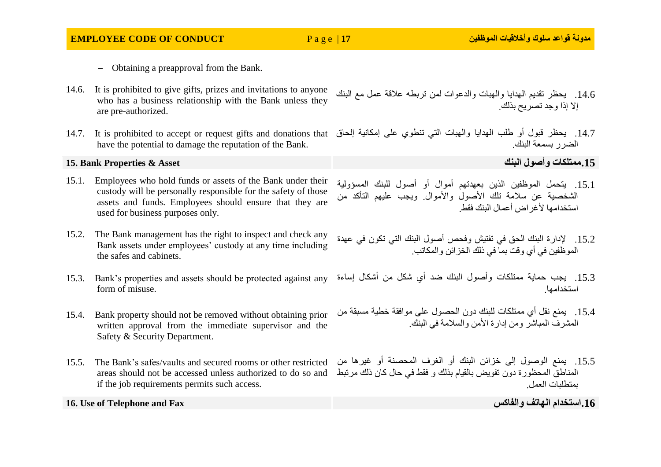- Obtaining a preapproval from the Bank.
- 14.6. It is prohibited to give gifts, prizes and invitations to anyone who has a business relationship with the Bank unless they are pre-authorized.
- have the potential to damage the reputation of the Bank.

### **.15ممتلكات وأصول البنك Asset & Properties Bank 15.**

- 15.1. Employees who hold funds or assets of the Bank under their custody will be personally responsible for the safety of those assets and funds. Employees should ensure that they are used for business purposes only.
- 15.2. The Bank management has the right to inspect and check any Bank assets under employees' custody at any time including the safes and cabinets.
- 15.3. Bank's properties and assets should be protected against any form of misuse.
- 15.4. Bank property should not be removed without obtaining prior written approval from the immediate supervisor and the Safety & Security Department.
- 15.5. The Bank's safes/vaults and secured rooms or other restricted if the job requirements permits such access.

- .14.6 يحظر تقديم الهدايا والهبات والدعوات لمن تربطه عالقة عمل مع البنك إال إذا وجد تصريح بذلك.
- 14.7. يحظر قبول أو طلب الهدايا والمهبات التي تنطوي على إمكانية إلحاق 14.7 lt is prohibited to accept or request gifts and donations that الضرر بسمعة البنك.

- .15.1 يتحمل الموظفين الذين بعهدتهم أموال أو أصول للبنك المسؤولية الشخصية عن سالمة تلك األصول واألموال. ويجب عليهم التأكد من استخدامها لأغر اض أعمال البنك فقط
- .15.2 إلدارة البنك الحق في تفتيش وفحص أصول البنك التي تكون في عهدة الموظفين في أي وقت بما في ذلك الخزائن والمكاتب.
- .15.3 يجب حماية ممتلكات وأصول البنك ضد أي شكل من أشكال إساءة استخدامها.
- .15.4 يمنع نقل أي ممتلكات للبنك دون الحصول على موافقة خطية مسبقة من المشرف المباشر ومن إدارة األمن والسالمة في البنك.
- areas should not be accessed unless authorized to do so and المناطق المحظورة دون تفويض بالقيام بذلك و فقط في حال كان ذلك مرتبط .15.5 يمنع الوصول إلى خزائن البنك أو الغرف المحصنة أو غيرها من بمتطلبات العمل.

**16. Use of Telephone and Fax والفاكس الهاتف استخدام.16**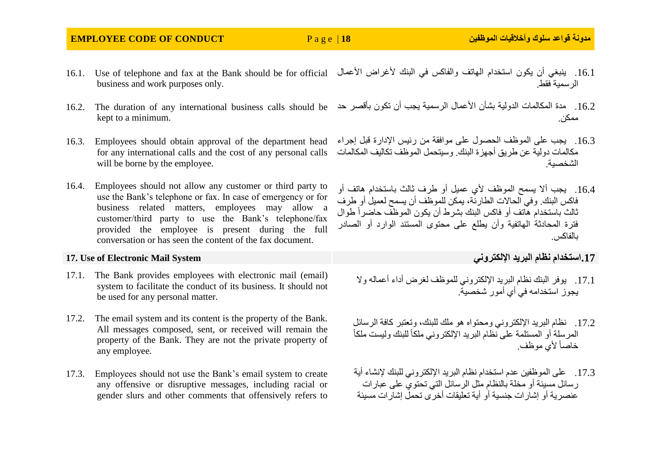### **EMPLOYEE CODE OF CONDUCT** P a g e | **18 الموظفين وأخالقيات سلوك قواعد مدونة**

- 16.1. Use of telephone and fax at the Bank should be for official business and work purposes only. .16.1 ينبغي أن يكون استخدام الهاتف والفاكس في البنك لأغراض الأعمال الرسمية فقط.
- 16.2. مدة المكالمات الدولية بشأن الأعمال الرسمية يجب أن تكون بأقصر حد I6.2. The duration of any international business calls should be kept to a minimum.
- 16.3. Employees should obtain approval of the department head for any international calls and the cost of any personal calls will be borne by the employee.
- 16.4. Employees should not allow any customer or third party to use the Bank's telephone or fax. In case of emergency or for business related matters, employees may allow a customer/third party to use the Bank's telephone/fax provided the employee is present during the full conversation or has seen the content of the fax document.

- 17.1. The Bank provides employees with electronic mail (email) system to facilitate the conduct of its business. It should not be used for any personal matter.
- 17.2. The email system and its content is the property of the Bank. All messages composed, sent, or received will remain the property of the Bank. They are not the private property of any employee.
- 17.3. Employees should not use the Bank's email system to create any offensive or disruptive messages, including racial or gender slurs and other comments that offensively refers to
- - ممكن.
	- .16.3 يجب على الموظف الحصول على موافقة من رئيس اإلدارة قبل إجراء مكالمات دولية عن طريق أجهزة البنك. وسيتحمل الموظف تكاليف المكالمات الشخصية.
	- 16.4. يجب ألا يسمح الموظف لأي عميل أو طرف ثالث باستخدام هاتف أو فاكس البنك. وفي الحاالت الطارئة، يمكن للموظف أن يسمح لعميل أو طرف ثالث باستخدام هاتف أو فاكس البنك بشرط أن بكون الموظف حاضر أ طوال فترة المحادثة الهاتفية وأن يطلع على محتوى المستند الوارد أو الصادر بالفاكس.

**17. Use of Electronic Mail System اإللكتروني البريد نظام استخدام.17**

- 17.1 . يوفر البنك نظام البريد الإلكتروني للموظف لغرض أداء أعماله والا يجوز استخدامه في أي أمور شخصية.
- .17.2 نظام البريد اإللكتروني ومحتواه هو ملك للبنك، وتعتبر كافة الرسائل المرسلة أو المستلمة على نظام البريد الإلكتروني ملكاً للبنك وليست ملكاً خاصاً لأي موظف.
- 17.3. على الموظفين عدم استخدام نظام البريد الإلكتروني للبنك لإنشاء أية رسائل مسيئة أو مخلة بالنظام مثل الرسائل التي تحتوي على عبارات عنصرية أو إشارات جنسية أو أية تعليقات أخرى تحمل إشارات مسيئة